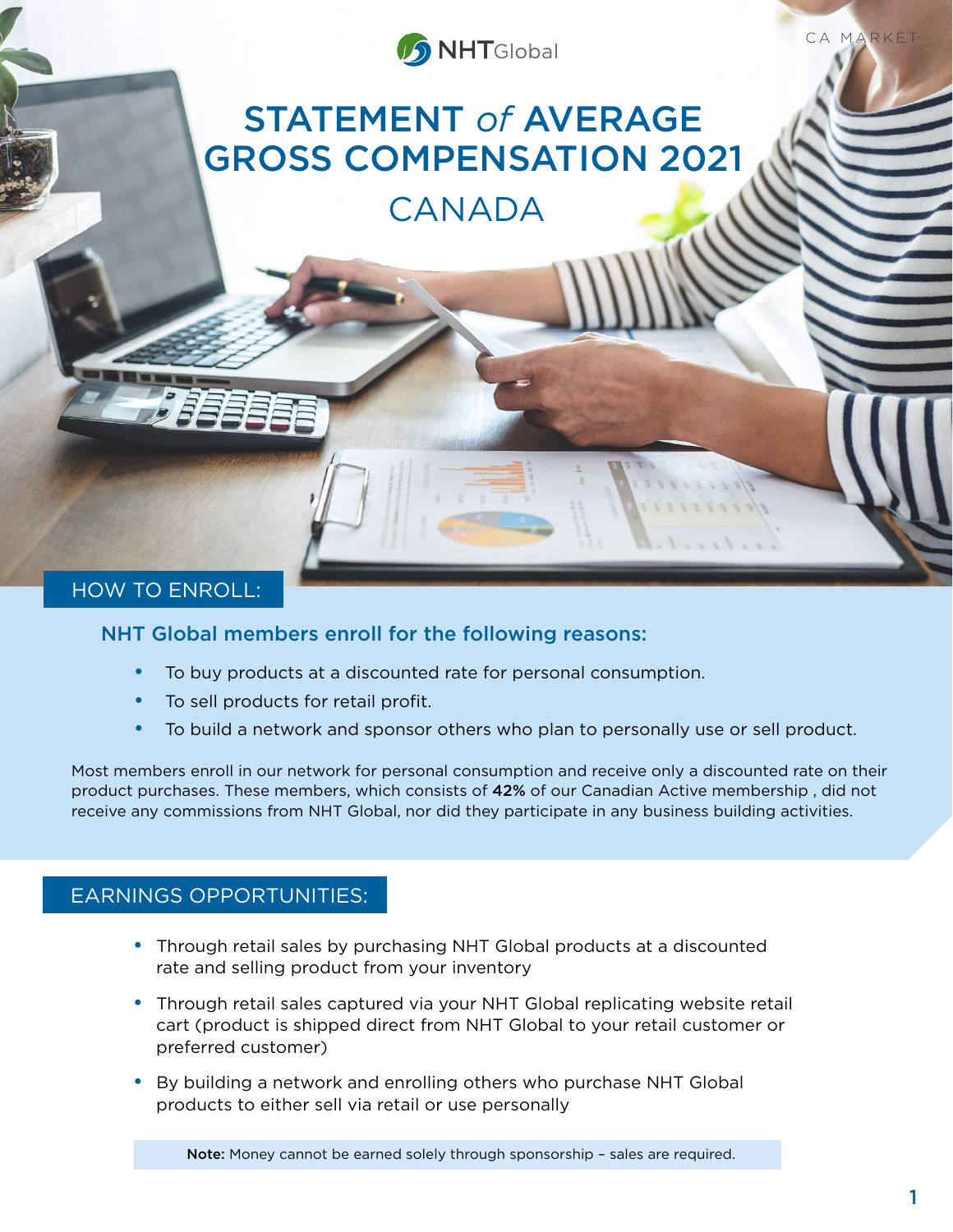

CA MARKET

# STATEMENT *of* AVERAGE GROSS COMPENSATION 2021

CANADA

## HOW TO ENROLL:

#### NHT Global members enroll for the following reasons:

- To buy products at a discounted rate for personal consumption.
- To sell products for retail profit.
- To build a network and sponsor others who plan to personally use or sell product.

Most members enroll in our network for personal consumption and receive only a discounted rate on their product purchases. These members, which consists of 42% of our Canadian Active membership , did not receive any commissions from NHT Global, nor did they participate in any business building activities.

## EARNINGS OPPORTUNITIES:

- Through retail sales by purchasing NHT Global products at a discounted rate and selling product from your inventory
- Through retail sales captured via your NHT Global replicating website retail cart (product is shipped direct from NHT Global to your retail customer or preferred customer)
- By building a network and enrolling others who purchase NHT Global products to either sell via retail or use personally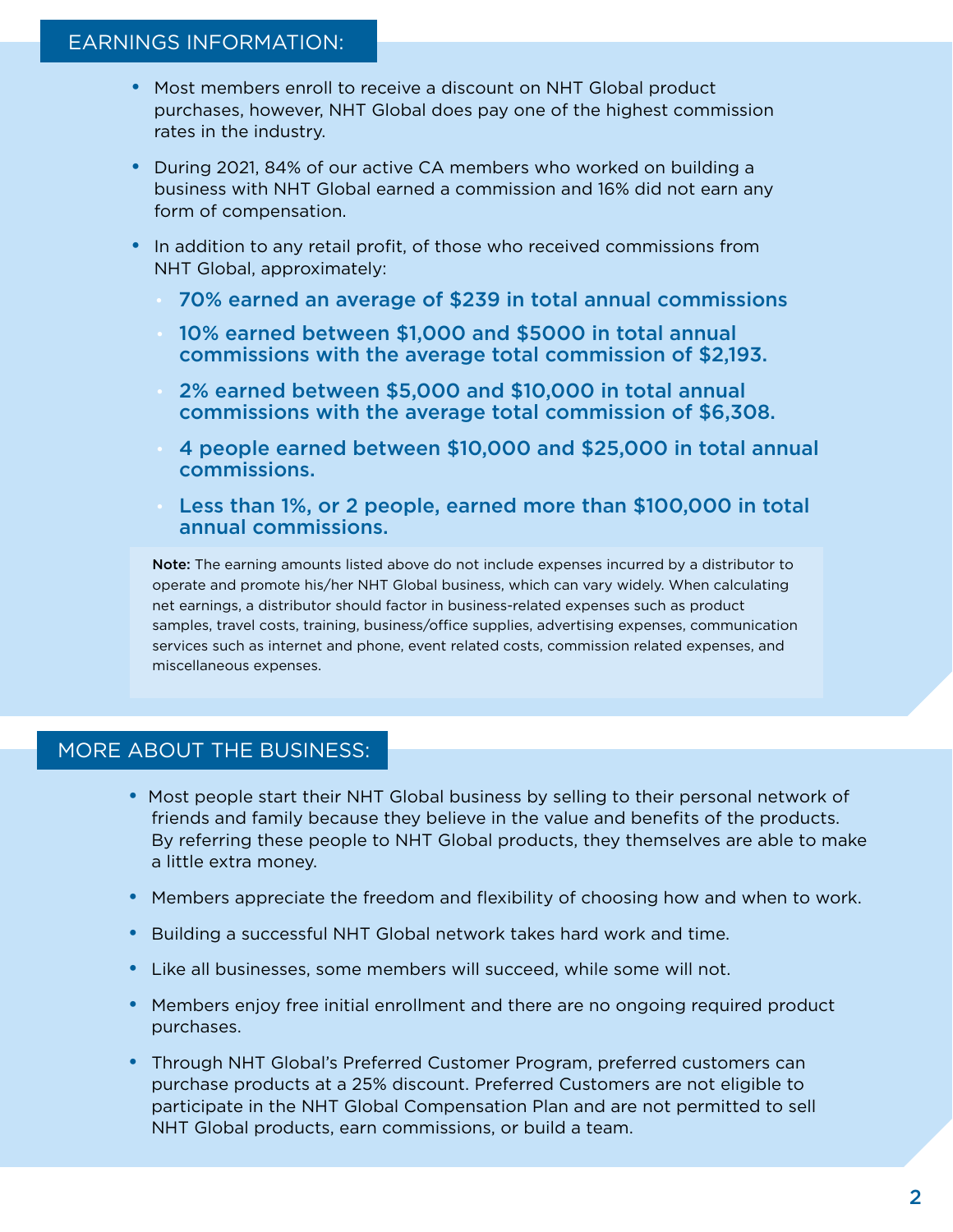- Most members enroll to receive a discount on NHT Global product purchases, however, NHT Global does pay one of the highest commission rates in the industry.
- During 2021, 84% of our active CA members who worked on building a business with NHT Global earned a commission and 16% did not earn any form of compensation.
- In addition to any retail profit, of those who received commissions from NHT Global, approximately:
	- 70% earned an average of \$239 in total annual commissions
	- 10% earned between \$1,000 and \$5000 in total annual commissions with the average total commission of \$2,193.
	- 2% earned between \$5,000 and \$10,000 in total annual commissions with the average total commission of \$6,308.
	- 4 people earned between \$10,000 and \$25,000 in total annual commissions.
	- Less than 1%, or 2 people, earned more than \$100,000 in total annual commissions.

Note: The earning amounts listed above do not include expenses incurred by a distributor to operate and promote his/her NHT Global business, which can vary widely. When calculating net earnings, a distributor should factor in business-related expenses such as product samples, travel costs, training, business/office supplies, advertising expenses, communication services such as internet and phone, event related costs, commission related expenses, and miscellaneous expenses.

# MORE ABOUT THE BUSINESS:

- Most people start their NHT Global business by selling to their personal network of friends and family because they believe in the value and benefits of the products. By referring these people to NHT Global products, they themselves are able to make a little extra money.
- Members appreciate the freedom and flexibility of choosing how and when to work.
- Building a successful NHT Global network takes hard work and time.
- Like all businesses, some members will succeed, while some will not.
- Members enjoy free initial enrollment and there are no ongoing required product purchases.
- Through NHT Global's Preferred Customer Program, preferred customers can purchase products at a 25% discount. Preferred Customers are not eligible to participate in the NHT Global Compensation Plan and are not permitted to sell NHT Global products, earn commissions, or build a team.